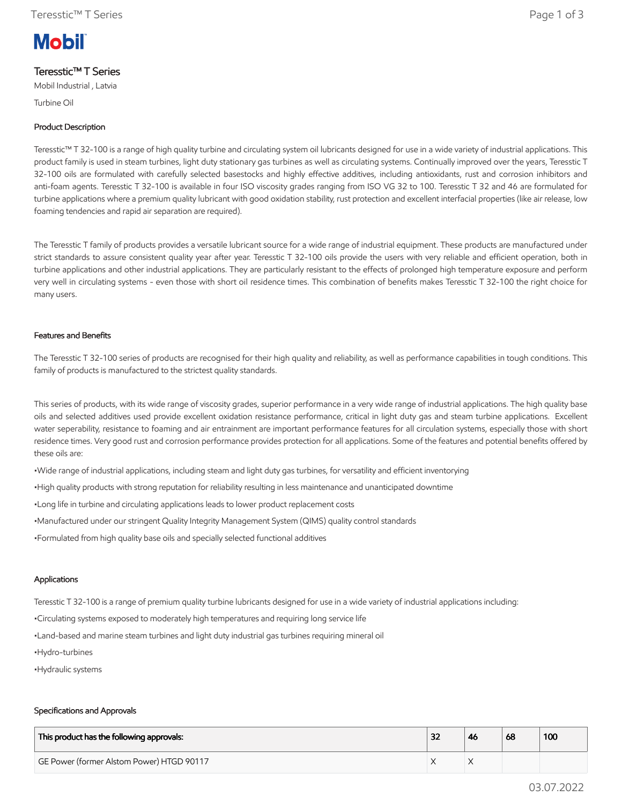# **Mobil**

## Teresstic™ T Series

Mobil Industrial , Latvia

Turbine Oil

### Product Description

Teresstic™ T 32-100 is a range of high quality turbine and circulating system oil lubricants designed for use in a wide variety of industrial applications. This product family is used in steam turbines, light duty stationary gas turbines as well as circulating systems. Continually improved over the years, Teresstic T 32-100 oils are formulated with carefully selected basestocks and highly effective additives, including antioxidants, rust and corrosion inhibitors and anti-foam agents. Teresstic T 32-100 is available in four ISO viscosity grades ranging from ISO VG 32 to 100. Teresstic T 32 and 46 are formulated for turbine applications where a premium quality lubricant with good oxidation stability, rust protection and excellent interfacial properties (like air release, low foaming tendencies and rapid air separation are required).

The Teresstic T family of products provides a versatile lubricant source for a wide range of industrial equipment. These products are manufactured under strict standards to assure consistent quality year after year. Teresstic T 32-100 oils provide the users with very reliable and efficient operation, both in turbine applications and other industrial applications. They are particularly resistant to the effects of prolonged high temperature exposure and perform very well in circulating systems - even those with short oil residence times. This combination of benefits makes Teresstic T 32-100 the right choice for many users.

#### Features and Benefits

The Teresstic T 32-100 series of products are recognised for their high quality and reliability, as well as performance capabilities in tough conditions. This family of products is manufactured to the strictest quality standards.

This series of products, with its wide range of viscosity grades, superior performance in a very wide range of industrial applications. The high quality base oils and selected additives used provide excellent oxidation resistance performance, critical in light duty gas and steam turbine applications. Excellent water seperability, resistance to foaming and air entrainment are important performance features for all circulation systems, especially those with short residence times. Very good rust and corrosion performance provides protection for all applications. Some of the features and potential benefits offered by these oils are:

•Wide range of industrial applications, including steam and light duty gas turbines, for versatility and efficient inventorying

•High quality products with strong reputation for reliability resulting in less maintenance and unanticipated downtime

•Long life in turbine and circulating applications leads to lower product replacement costs

•Manufactured under our stringent Quality Integrity Management System (QIMS) quality control standards

•Formulated from high quality base oils and specially selected functional additives

#### Applications

Teresstic T 32-100 is a range of premium quality turbine lubricants designed for use in a wide variety of industrial applications including:

•Circulating systems exposed to moderately high temperatures and requiring long service life

•Land-based and marine steam turbines and light duty industrial gas turbines requiring mineral oil

- •Hydro-turbines
- •Hydraulic systems

#### Specifications and Approvals

| This product has the following approvals: | ລາ | <b>46</b> | 68 | 100 |
|-------------------------------------------|----|-----------|----|-----|
| GE Power (former Alstom Power) HTGD 90117 |    |           |    |     |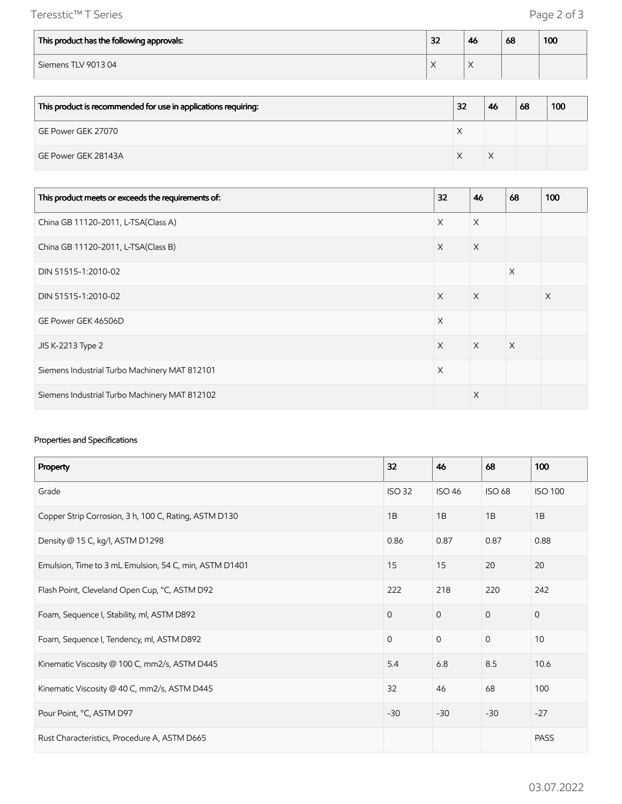Teresstic™ T Series Page 2 of 3

| This product has the following approvals: | 32 | 46 | 68 | 100 |
|-------------------------------------------|----|----|----|-----|
| Siemens TLV 901304                        |    |    |    |     |

| This product is recommended for use in applications requiring: | 32 | 46 | 68 | 100 |
|----------------------------------------------------------------|----|----|----|-----|
| GE Power GEK 27070                                             |    |    |    |     |
| GE Power GEK 28143A                                            |    | X  |    |     |

| This product meets or exceeds the requirements of: | 32       | 46       | 68       | 100 |
|----------------------------------------------------|----------|----------|----------|-----|
| China GB 11120-2011, L-TSA(Class A)                | X        | $\times$ |          |     |
| China GB 11120-2011, L-TSA(Class B)                | $\times$ | $\times$ |          |     |
| DIN 51515-1:2010-02                                |          |          | $\times$ |     |
| DIN 51515-1:2010-02                                | $\times$ | $\times$ |          | X   |
| GE Power GEK 46506D                                | $\times$ |          |          |     |
| JIS K-2213 Type 2                                  | $\times$ | $\times$ | X        |     |
| Siemens Industrial Turbo Machinery MAT 812101      | $\times$ |          |          |     |
| Siemens Industrial Turbo Machinery MAT 812102      |          | $\times$ |          |     |

#### Properties and Specifications

| Property                                               | 32            | 46            | 68            | 100            |
|--------------------------------------------------------|---------------|---------------|---------------|----------------|
| Grade                                                  | <b>ISO 32</b> | <b>ISO 46</b> | <b>ISO 68</b> | <b>ISO 100</b> |
| Copper Strip Corrosion, 3 h, 100 C, Rating, ASTM D130  | 1B            | 1B            | 1B            | 1B             |
| Density @ 15 C, kg/l, ASTM D1298                       | 0.86          | 0.87          | 0.87          | 0.88           |
| Emulsion, Time to 3 mL Emulsion, 54 C, min, ASTM D1401 | 15            | 15            | 20            | 20             |
| Flash Point, Cleveland Open Cup, °C, ASTM D92          | 222           | 218           | 220           | 242            |
| Foam, Sequence I, Stability, ml, ASTM D892             | $\mathbf{0}$  | $\mathbf{O}$  | $\mathbf{0}$  | $\mathbf{0}$   |
| Foam, Sequence I, Tendency, ml, ASTM D892              | $\Omega$      | $\mathbf{0}$  | $\mathbf{0}$  | 10             |
| Kinematic Viscosity @ 100 C, mm2/s, ASTM D445          | 5.4           | 6.8           | 8.5           | 10.6           |
| Kinematic Viscosity @ 40 C, mm2/s, ASTM D445           | 32            | 46            | 68            | 100            |
| Pour Point, °C, ASTM D97                               | $-30$         | $-30$         | $-30$         | $-27$          |
| Rust Characteristics, Procedure A, ASTM D665           |               |               |               | <b>PASS</b>    |